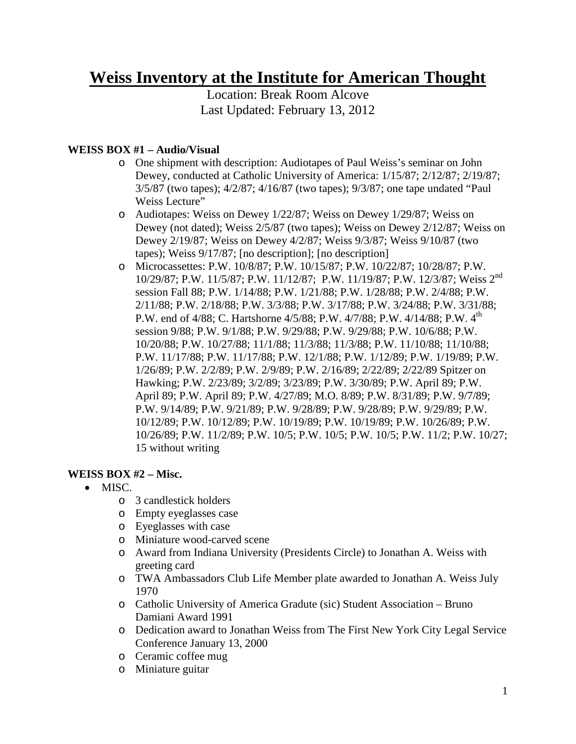# **Weiss Inventory at the Institute for American Thought**

Location: Break Room Alcove Last Updated: February 13, 2012

# **WEISS BOX #1 – Audio/Visual**

- o One shipment with description: Audiotapes of Paul Weiss's seminar on John Dewey, conducted at Catholic University of America: 1/15/87; 2/12/87; 2/19/87; 3/5/87 (two tapes); 4/2/87; 4/16/87 (two tapes); 9/3/87; one tape undated "Paul Weiss Lecture"
- o Audiotapes: Weiss on Dewey 1/22/87; Weiss on Dewey 1/29/87; Weiss on Dewey (not dated); Weiss 2/5/87 (two tapes); Weiss on Dewey 2/12/87; Weiss on Dewey 2/19/87; Weiss on Dewey 4/2/87; Weiss 9/3/87; Weiss 9/10/87 (two tapes); Weiss 9/17/87; [no description]; [no description]
- o Microcassettes: P.W. 10/8/87; P.W. 10/15/87; P.W. 10/22/87; 10/28/87; P.W. 10/29/87; P.W. 11/5/87; P.W. 11/12/87; P.W. 11/19/87; P.W. 12/3/87; Weiss 2nd session Fall 88; P.W. 1/14/88; P.W. 1/21/88; P.W. 1/28/88; P.W. 2/4/88; P.W. 2/11/88; P.W. 2/18/88; P.W. 3/3/88; P.W. 3/17/88; P.W. 3/24/88; P.W. 3/31/88; P.W. end of 4/88; C. Hartshorne 4/5/88; P.W. 4/7/88; P.W. 4/14/88; P.W. 4<sup>th</sup> session 9/88; P.W. 9/1/88; P.W. 9/29/88; P.W. 9/29/88; P.W. 10/6/88; P.W. 10/20/88; P.W. 10/27/88; 11/1/88; 11/3/88; 11/3/88; P.W. 11/10/88; 11/10/88; P.W. 11/17/88; P.W. 11/17/88; P.W. 12/1/88; P.W. 1/12/89; P.W. 1/19/89; P.W. 1/26/89; P.W. 2/2/89; P.W. 2/9/89; P.W. 2/16/89; 2/22/89; 2/22/89 Spitzer on Hawking; P.W. 2/23/89; 3/2/89; 3/23/89; P.W. 3/30/89; P.W. April 89; P.W. April 89; P.W. April 89; P.W. 4/27/89; M.O. 8/89; P.W. 8/31/89; P.W. 9/7/89; P.W. 9/14/89; P.W. 9/21/89; P.W. 9/28/89; P.W. 9/28/89; P.W. 9/29/89; P.W. 10/12/89; P.W. 10/12/89; P.W. 10/19/89; P.W. 10/19/89; P.W. 10/26/89; P.W. 10/26/89; P.W. 11/2/89; P.W. 10/5; P.W. 10/5; P.W. 10/5; P.W. 11/2; P.W. 10/27; 15 without writing

# **WEISS BOX #2 – Misc.**

- MISC.
	- o 3 candlestick holders
	- o Empty eyeglasses case
	- o Eyeglasses with case
	- o Miniature wood-carved scene
	- o Award from Indiana University (Presidents Circle) to Jonathan A. Weiss with greeting card
	- o TWA Ambassadors Club Life Member plate awarded to Jonathan A. Weiss July 1970
	- o Catholic University of America Gradute (sic) Student Association Bruno Damiani Award 1991
	- o Dedication award to Jonathan Weiss from The First New York City Legal Service Conference January 13, 2000
	- o Ceramic coffee mug
	- o Miniature guitar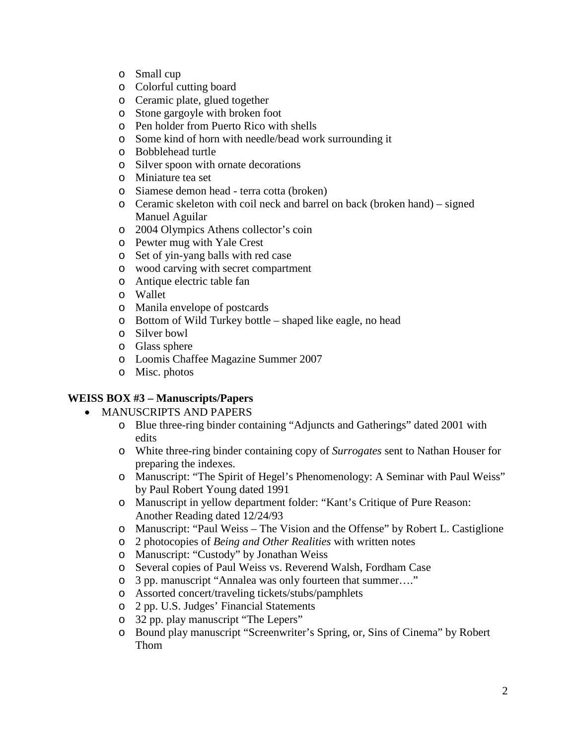- o Small cup
- o Colorful cutting board
- o Ceramic plate, glued together
- o Stone gargoyle with broken foot
- o Pen holder from Puerto Rico with shells
- o Some kind of horn with needle/bead work surrounding it
- o Bobblehead turtle
- o Silver spoon with ornate decorations
- o Miniature tea set
- o Siamese demon head terra cotta (broken)
- $\circ$  Ceramic skeleton with coil neck and barrel on back (broken hand) signed Manuel Aguilar
- o 2004 Olympics Athens collector's coin
- o Pewter mug with Yale Crest
- o Set of yin-yang balls with red case
- o wood carving with secret compartment
- o Antique electric table fan
- o Wallet
- o Manila envelope of postcards
- o Bottom of Wild Turkey bottle shaped like eagle, no head
- o Silver bowl
- o Glass sphere
- o Loomis Chaffee Magazine Summer 2007
- o Misc. photos

### **WEISS BOX #3 – Manuscripts/Papers**

- MANUSCRIPTS AND PAPERS
	- o Blue three-ring binder containing "Adjuncts and Gatherings" dated 2001 with edits
	- o White three-ring binder containing copy of *Surrogates* sent to Nathan Houser for preparing the indexes.
	- o Manuscript: "The Spirit of Hegel's Phenomenology: A Seminar with Paul Weiss" by Paul Robert Young dated 1991
	- o Manuscript in yellow department folder: "Kant's Critique of Pure Reason: Another Reading dated 12/24/93
	- o Manuscript: "Paul Weiss The Vision and the Offense" by Robert L. Castiglione
	- o 2 photocopies of *Being and Other Realities* with written notes
	- o Manuscript: "Custody" by Jonathan Weiss
	- o Several copies of Paul Weiss vs. Reverend Walsh, Fordham Case
	- o 3 pp. manuscript "Annalea was only fourteen that summer…."
	- o Assorted concert/traveling tickets/stubs/pamphlets
	- o 2 pp. U.S. Judges' Financial Statements
	- o 32 pp. play manuscript "The Lepers"
	- o Bound play manuscript "Screenwriter's Spring, or, Sins of Cinema" by Robert Thom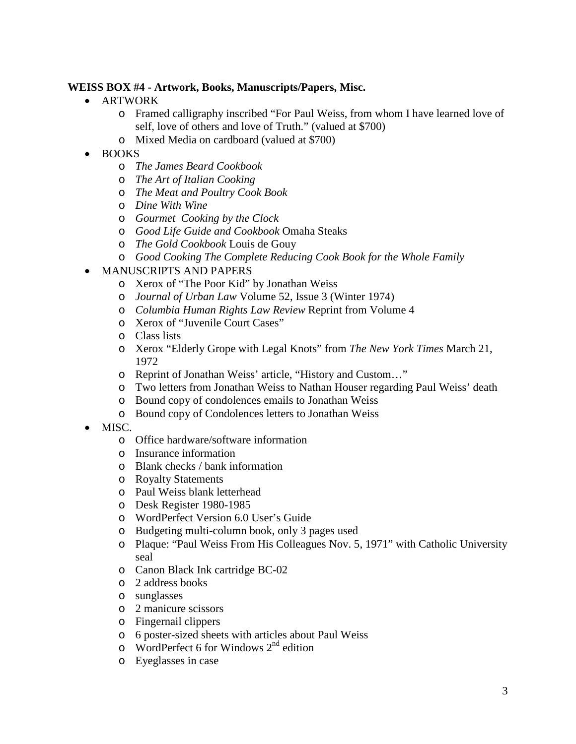## **WEISS BOX #4 - Artwork, Books, Manuscripts/Papers, Misc.**

- ARTWORK
	- o Framed calligraphy inscribed "For Paul Weiss, from whom I have learned love of self, love of others and love of Truth." (valued at \$700)
	- o Mixed Media on cardboard (valued at \$700)
- BOOKS
	- o *The James Beard Cookbook*
	- o *The Art of Italian Cooking*
	- o *The Meat and Poultry Cook Book*
	- o *Dine With Wine*
	- o *Gourmet Cooking by the Clock*
	- o *Good Life Guide and Cookbook* Omaha Steaks
	- o *The Gold Cookbook* Louis de Gouy
	- o *Good Cooking The Complete Reducing Cook Book for the Whole Family*
- MANUSCRIPTS AND PAPERS
	- o Xerox of "The Poor Kid" by Jonathan Weiss
	- o *Journal of Urban Law* Volume 52, Issue 3 (Winter 1974)
	- o *Columbia Human Rights Law Review* Reprint from Volume 4
	- o Xerox of "Juvenile Court Cases"
	- o Class lists
	- o Xerox "Elderly Grope with Legal Knots" from *The New York Times* March 21, 1972
	- o Reprint of Jonathan Weiss' article, "History and Custom…"
	- o Two letters from Jonathan Weiss to Nathan Houser regarding Paul Weiss' death
	- o Bound copy of condolences emails to Jonathan Weiss
	- o Bound copy of Condolences letters to Jonathan Weiss
- MISC.
	- o Office hardware/software information
	- o Insurance information
	- o Blank checks / bank information
	- o Royalty Statements
	- o Paul Weiss blank letterhead
	- o Desk Register 1980-1985
	- o WordPerfect Version 6.0 User's Guide
	- o Budgeting multi-column book, only 3 pages used
	- o Plaque: "Paul Weiss From His Colleagues Nov. 5, 1971" with Catholic University seal
	- o Canon Black Ink cartridge BC-02
	- o 2 address books
	- o sunglasses
	- o 2 manicure scissors
	- o Fingernail clippers
	- o 6 poster-sized sheets with articles about Paul Weiss
	- $\circ$  WordPerfect 6 for Windows 2<sup>nd</sup> edition
	- o Eyeglasses in case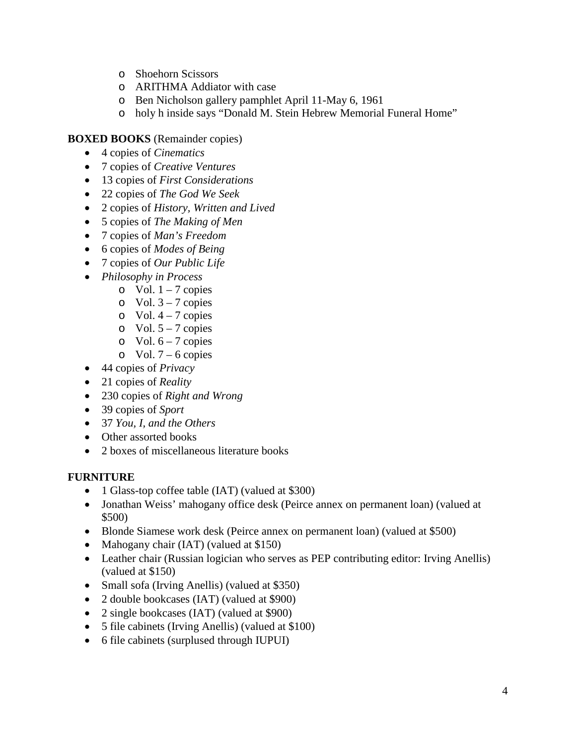- o Shoehorn Scissors
- o ARITHMA Addiator with case
- o Ben Nicholson gallery pamphlet April 11-May 6, 1961
- o holy h inside says "Donald M. Stein Hebrew Memorial Funeral Home"

## **BOXED BOOKS** (Remainder copies)

- 4 copies of *Cinematics*
- 7 copies of *Creative Ventures*
- 13 copies of *First Considerations*
- 22 copies of *The God We Seek*
- 2 copies of *History, Written and Lived*
- 5 copies of *The Making of Men*
- 7 copies of *Man's Freedom*
- 6 copies of *Modes of Being*
- 7 copies of *Our Public Life*
- *Philosophy in Process*
	- o Vol.  $1 7$  copies
		- o Vol.  $3 7$  copies
		- $\circ$  Vol. 4 7 copies
		- $\circ$  Vol. 5 7 copies
		- $\circ$  Vol. 6 7 copies
	- $\circ$  Vol. 7 6 copies
- 44 copies of *Privacy*
- 21 copies of *Reality*
- 230 copies of *Right and Wrong*
- 39 copies of *Sport*
- 37 *You, I, and the Others*
- Other assorted books
- 2 boxes of miscellaneous literature books

### **FURNITURE**

- 1 Glass-top coffee table (IAT) (valued at \$300)
- Jonathan Weiss' mahogany office desk (Peirce annex on permanent loan) (valued at \$500)
- Blonde Siamese work desk (Peirce annex on permanent loan) (valued at \$500)
- Mahogany chair (IAT) (valued at \$150)
- Leather chair (Russian logician who serves as PEP contributing editor: Irving Anellis) (valued at \$150)
- Small sofa (Irving Anellis) (valued at \$350)
- 2 double bookcases (IAT) (valued at \$900)
- 2 single bookcases (IAT) (valued at \$900)
- 5 file cabinets (Irving Anellis) (valued at \$100)
- 6 file cabinets (surplused through IUPUI)